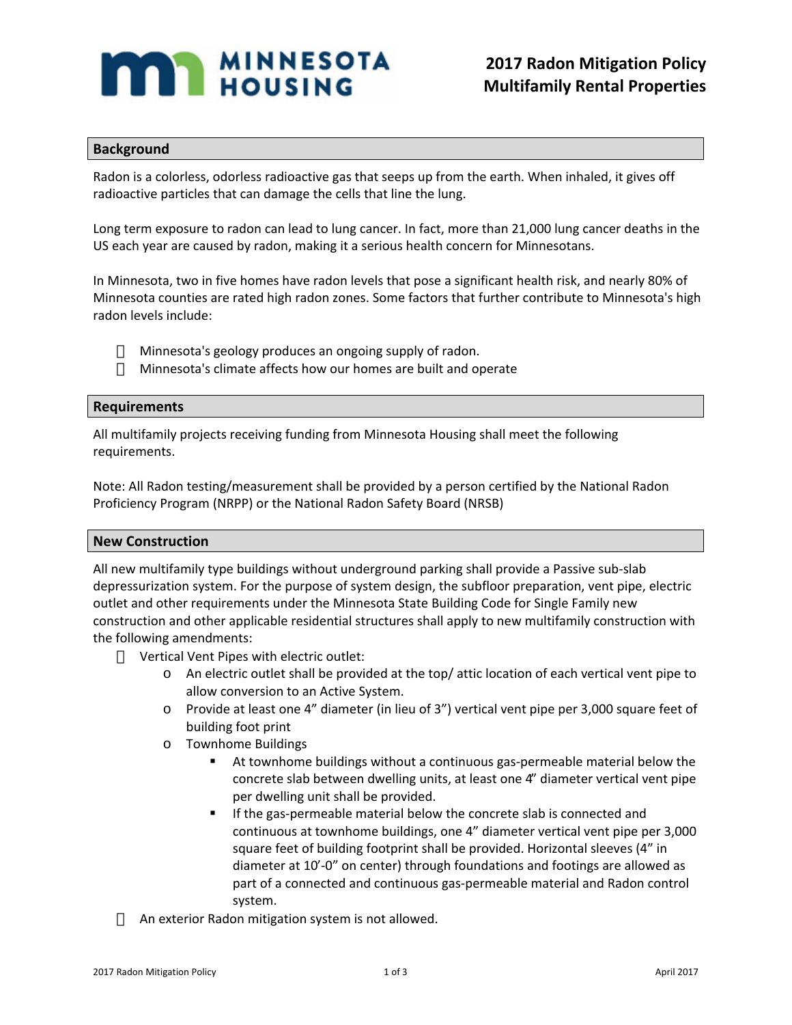# **MANUSING**

# **Background**

Radon is a colorless, odorless radioactive gas that seeps up from the earth. When inhaled, it gives off radioactive particles that can damage the cells that line the lung.

Long term exposure to radon can lead to lung cancer. In fact, more than 21,000 lung cancer deaths in the US each year are caused by radon, making it a serious health concern for Minnesotans.

In Minnesota, two in five homes have radon levels that pose a significant health risk, and nearly 80% of Minnesota counties are rated high radon zones. Some factors that further contribute to Minnesota's high radon levels include:

Minnesota's geology produces an ongoing supply of radon. Minnesota's climate affects how our homes are built and operate

## **Requirements**

All multifamily projects receiving funding from Minnesota Housing shall meet the following requirements.

Note: All Radon testing/measurement shall be provided by a person certified by the National Radon Proficiency Program (NRPP) or the National Radon Safety Board (NRSB)

### **New Construction**

All new multifamily type buildings without underground parking shall provide a Passive sub-slab depressurization system. For the purpose of system design, the subfloor preparation, vent pipe, electric outlet and other requirements under the Minnesota State Building Code for Single Family new construction and other applicable residential structures shall apply to new multifamily construction with the following amendments:

Vertical Vent Pipes with electric outlet:

- o An electric outlet shall be provided at the top/ attic location of each vertical vent pipe to allow conversion to an Active System.
- o Provide at least one 4" diameter (in lieu of 3") vertical vent pipe per 3,000 square feet of building foot print
- o Townhome Buildings
	- At townhome buildings without a continuous gas-permeable material below the concrete slab between dwelling units, at least one 4" diameter vertical vent pipe per dwelling unit shall be provided.
	- If the gas-permeable material below the concrete slab is connected and continuous at townhome buildings, one 4" diameter vertical vent pipe per 3,000 square feet of building footprint shall be provided. Horizontal sleeves (4" in diameter at 10'-0" on center) through foundations and footings are allowed as part of a connected and continuous gas-permeable material and Radon control system.

An exterior Radon mitigation system is not allowed.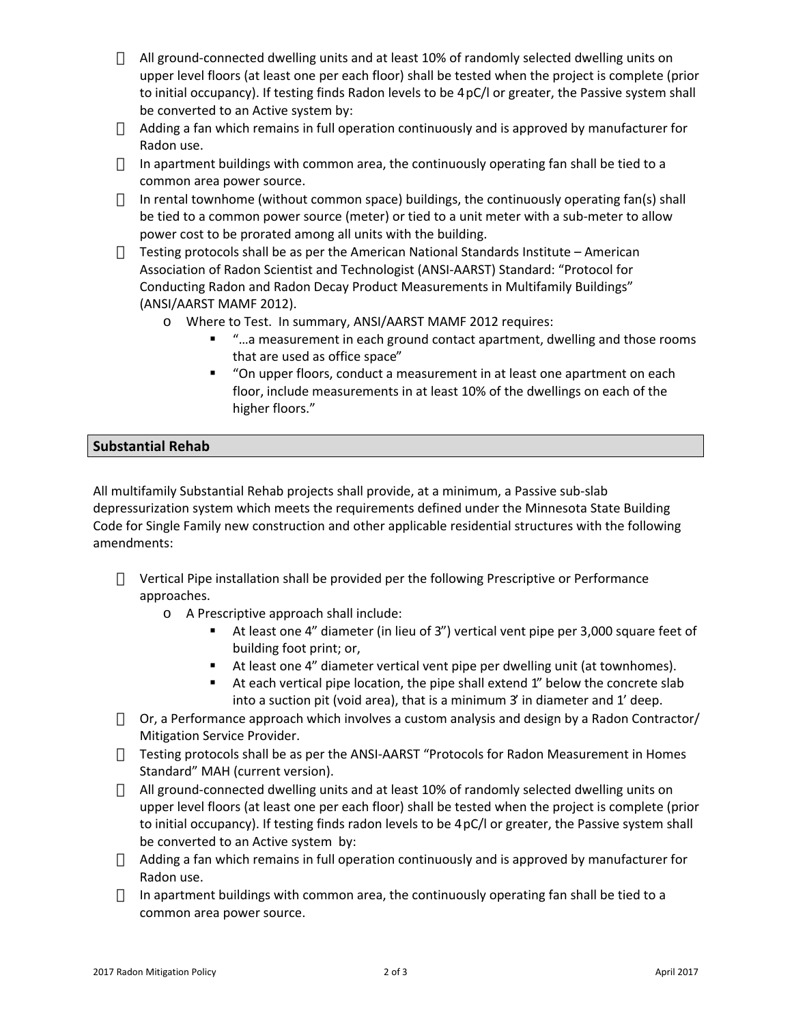All ground-connected dwelling units and at least 10% of randomly selected dwelling units on upper level floors (at least one per each floor) shall be tested when the project is complete (prior to initial occupancy). If testing finds Radon levels to be 4 pC/l or greater, the Passive system shall be converted to an Active system by:

Adding a fan which remains in full operation continuously and is approved by manufacturer for Radon use.

In apartment buildings with common area, the continuously operating fan shall be tied to a common area power source.

In rental townhome (without common space) buildings, the continuously operating fan(s) shall be tied to a common power source (meter) or tied to a unit meter with a sub-meter to allow power cost to be prorated among all units with the building.

Testing protocols shall be as per the American National Standards Institute – American Association of Radon Scientist and Technologist (ANSI-AARST) Standard: "Protocol for Conducting Radon and Radon Decay Product Measurements in Multifamily Buildings" (ANSI/AARST MAMF 2012).

- o Where to Test. In summary, ANSI/AARST MAMF 2012 requires:
	- "…a measurement in each ground contact apartment, dwelling and those rooms that are used as office space"
	- "On upper floors, conduct a measurement in at least one apartment on each floor, include measurements in at least 10% of the dwellings on each of the higher floors."

# **Substantial Rehab**

All multifamily Substantial Rehab projects shall provide, at a minimum, a Passive sub-slab depressurization system which meets the requirements defined under the Minnesota State Building Code for Single Family new construction and other applicable residential structures with the following amendments:

Vertical Pipe installation shall be provided per the following Prescriptive or Performance approaches.

o A Prescriptive approach shall include:

- At least one 4" diameter (in lieu of 3") vertical vent pipe per 3,000 square feet of building foot print; or,
- At least one 4" diameter vertical vent pipe per dwelling unit (at townhomes).
- At each vertical pipe location, the pipe shall extend 1" below the concrete slab into a suction pit (void area), that is a minimum 3' in diameter and 1' deep.

Or, a Performance approach which involves a custom analysis and design by a Radon Contractor/ Mitigation Service Provider.

Testing protocols shall be as per the ANSI-AARST "Protocols for Radon Measurement in Homes Standard" MAH (current version).

All ground-connected dwelling units and at least 10% of randomly selected dwelling units on upper level floors (at least one per each floor) shall be tested when the project is complete (prior to initial occupancy). If testing finds radon levels to be 4 pC/l or greater, the Passive system shall be converted to an Active system by:

Adding a fan which remains in full operation continuously and is approved by manufacturer for Radon use.

In apartment buildings with common area, the continuously operating fan shall be tied to a common area power source.